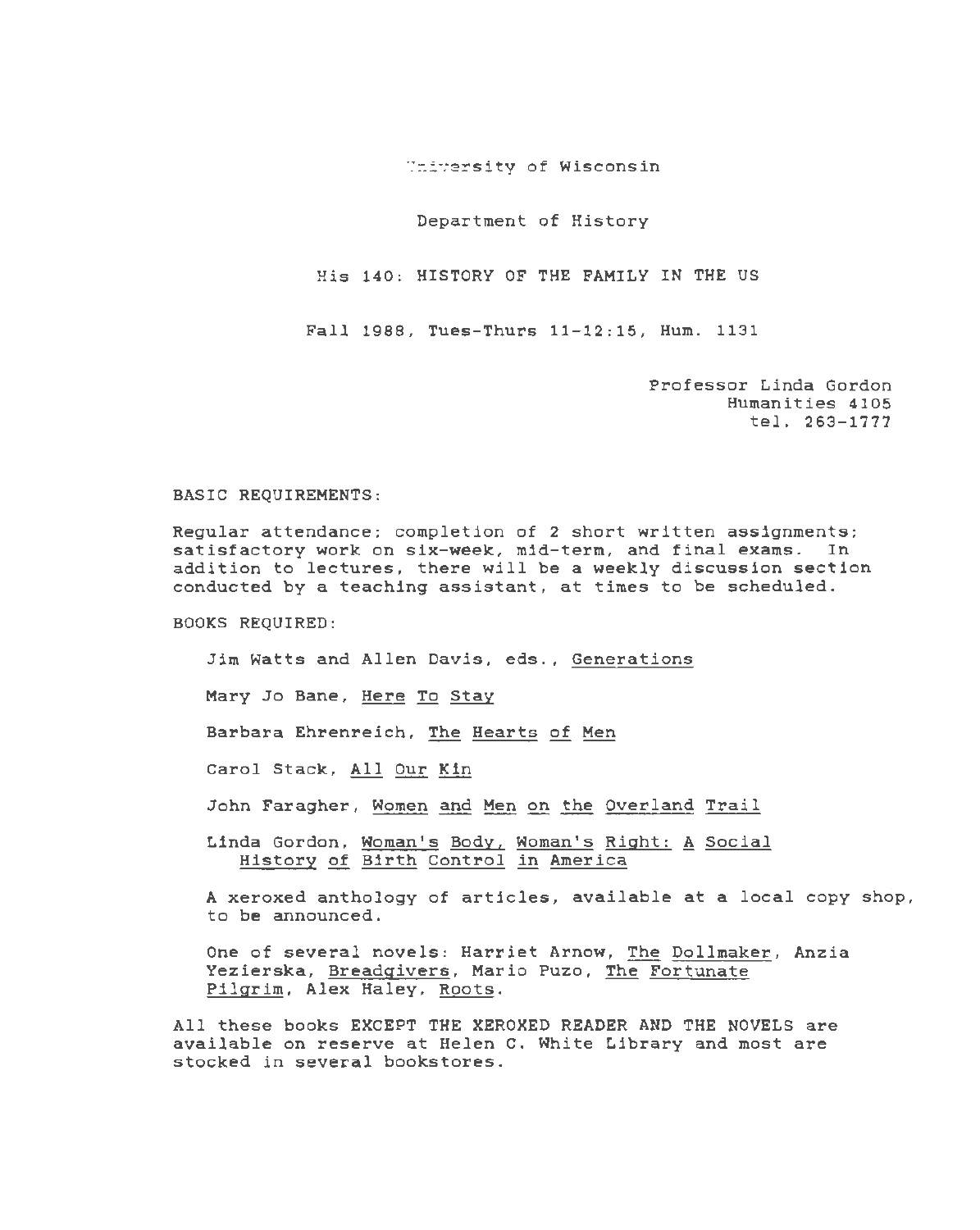~!7ersity of Wisconsin

Department of History

His 140: HISTORY OF THE FAMILY IN THE US

Fall 1988 , Tues-Thurs 11-12:15, Hum. 1131

Professor Linda Gordon Humanities 4105 tel. 263-1777

BASIC REQUIREMENTS :

Regular attendance; completion of 2 short written assignments; satisfactory work on six-week, mid-term, and final exams. In addition to lectures, there will be a weekly discussion section conducted by a teaching assistant, at times to be scheduled.

BOOKS REQUIRED:

Jim Watts and Allen Davis, eds., Generations

Mary Jo Bane, Here To Stay

Barbara Ehrenreich, The Hearts of Men

Carol Stack, All Our Kin

John Faragher, Women and Men on the Overland Trail

Linda Gordon, Woman's Body, Woman's Right: A Social History of Birth Control in America

A xeroxed anthology of articles, available at a local copy shop, to be announced.

One of several novels: Harriet Arnow, The Dollmaker, Anzia Yezierska, Breadgivers, Mario Puzo, The Fortunate Pilgrim, Alex Haley, Roots.

All these books EXCEPT THE XEROXED READER AND THE NOVELS are available on reserve at Helen C. White Library and most are stocked in several bookstores.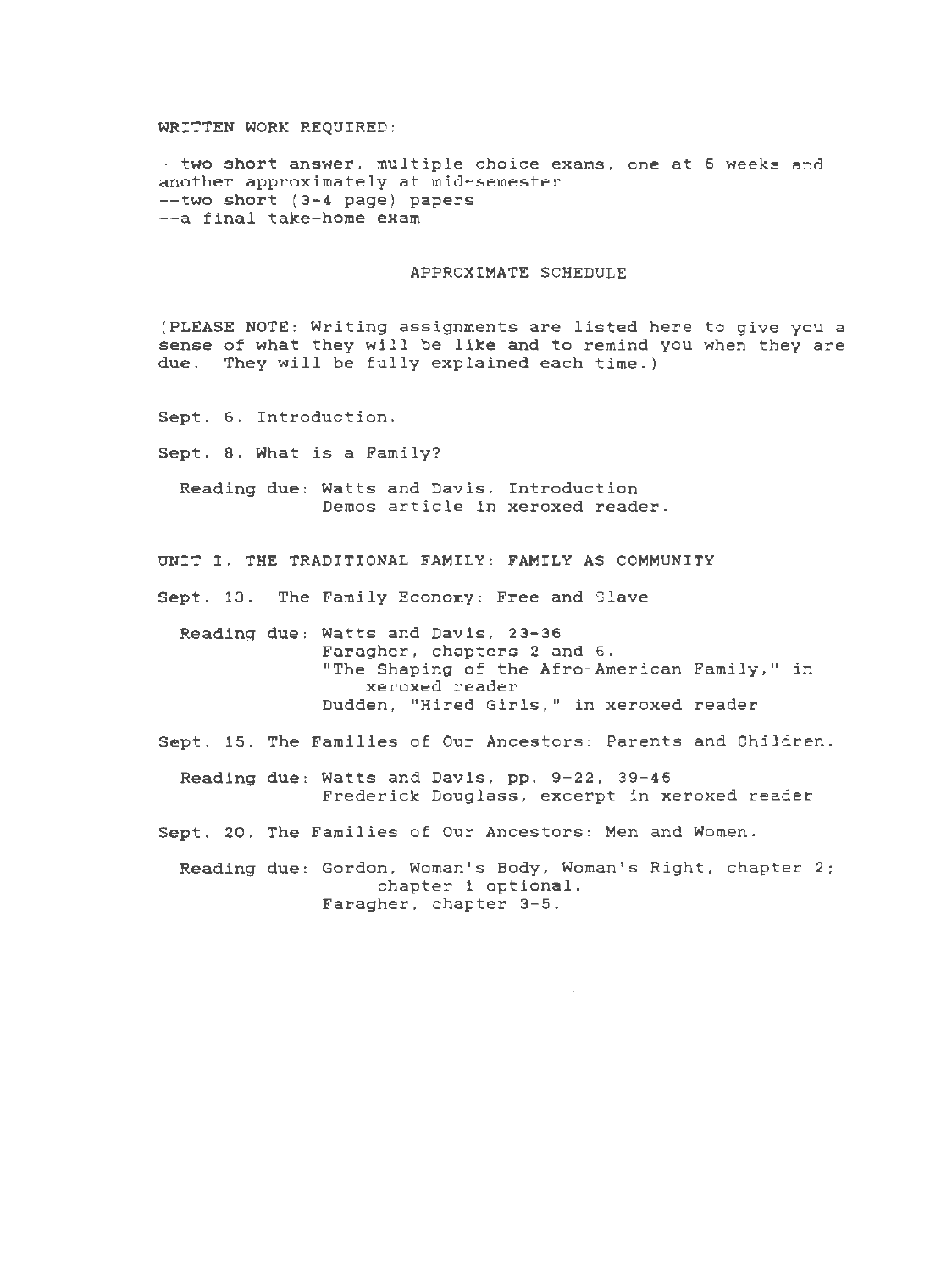WRITTEN WORK REQUIRED:

--two short-answer, multiple-choice exams, one at 6 weeks and another approximately at mid-semester --two short (3-4 page) papers --a final take-home exam

## APPROXIMATE SCHEDULE

(PLEASE NOTE: Writing assignments are listed here to give you a sense of what they will be like and to remind you when they are due. They *will* be fully explained each time.)

Sept. 6. Introduction.

Sept. 8. What *is* a Family?

Reading due: Watts and Davis, Introduction Demos article in xeroxed reader.

UNIT I. THE TRADITIONAL FAMILY: FAMILY AS COMMUNITY

Sept. 13. The Family Economy: Free and Slave

Reading due: Watts and Davis, 23-36 Faragher, chapters 2 and 6. "The Shaping of the Afro-American Family," in xeroxed reader Dudden, "Hired Girls," in xeroxed reader

Sept. 15. The Families of Our Ancestors: Parents and Children.

Reading due: Watts and Davis, pp. 9-22, 39-46 Frederick Douglass, excerpt in xeroxed reader

Sept. 20. The Families of Our Ancestors: Men and Women.

Reading due: Gordon, Woman's Body, Woman's Right, chapter 2; chapter 1 optional. Faragher, chapter 3-5.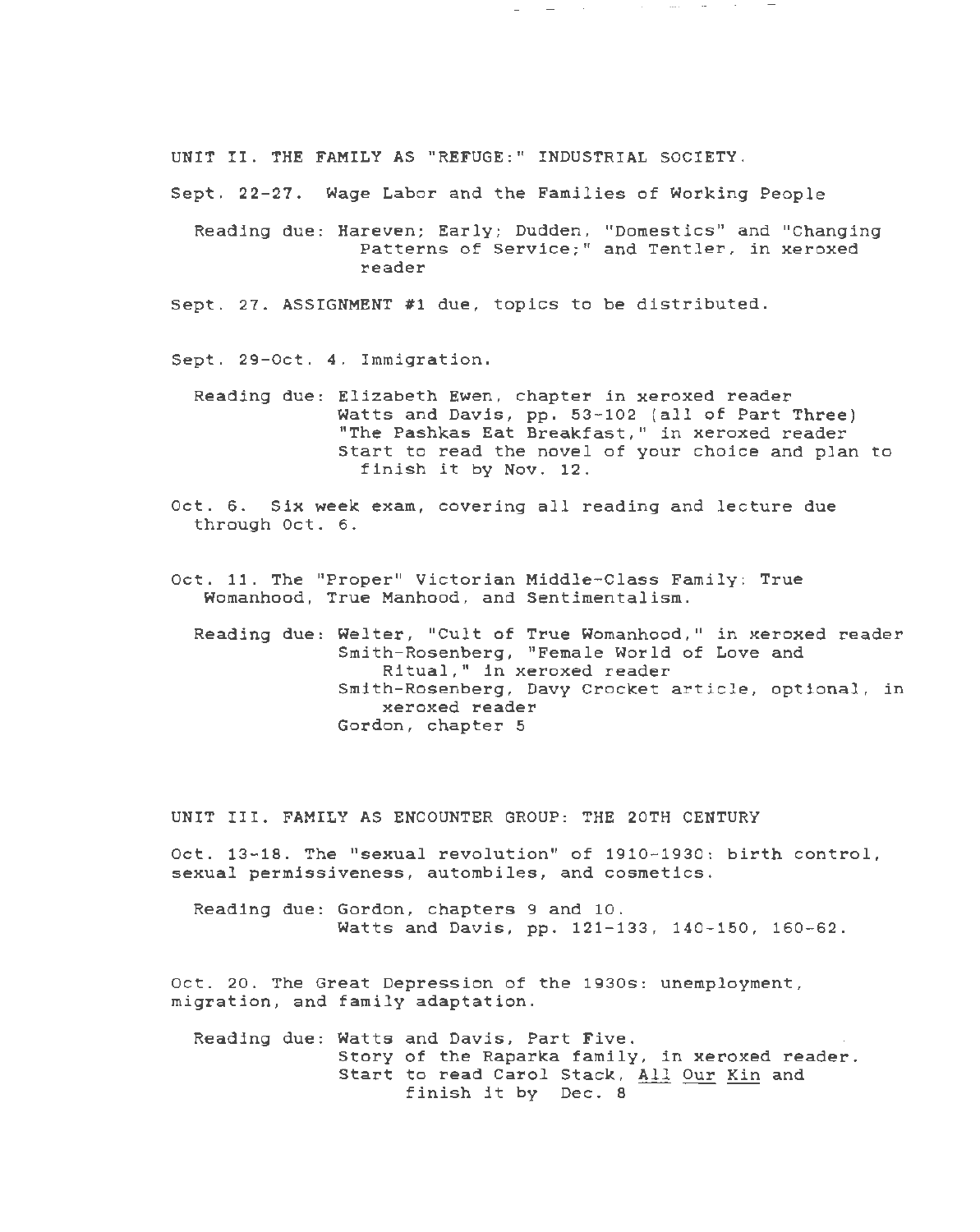UNIT II. THE FAMILY AS "REFUGE:" INDUSTRIAL SOCIETY.

Sept. 22-27. Wage Labor and the Families of Working People

Reading due: Hareven; Early; Dudden, "Domestics" and "Changing Patterns of Service;" and Tentler, in xeroxed reader

 $\omega_{\rm{max}} = 1.00$  and  $\omega_{\rm{max}}$ 

 $\mathcal{L}_{\text{max}}$  and  $\mathcal{L}_{\text{max}}$  and  $\mathcal{L}_{\text{max}}$ 

Sept. 27. ASSIGNMENT #1 due, topics to be distributed.

Sept. 29-0ct. 4. Immigration.

Reading due: Elizabeth Ewen, chapter in xeroxed reader Watts and Davis, pp. 53-102 (all of Part Three) "The Pashkas Eat Breakfast," in xeroxed reader Start to read the novel of your choice and plan to finish it by Nov. 12.

Oct. 6. Six week exam, covering all reading and lecture due through Oct. 6.

Oct. 11. The "Proper" Victorian Middle-Class Family: True Womanhood, True Manhood, and Sentimentalism.

Reading due: Welter, "Cult of True Womanhood," in xeroxed reader Smith-Rosenberg, "Female World of Love and Ritual," in xeroxed reader Smith-Rosenberg, Davy Crocket article, optional, in xeroxed reader Gordon, chapter 5

UNIT III. FAMILY AS ENCOUNTER GROUP: THE 20TH CENTURY

Oct. 13-18. The "sexual revolution" of 1910-1930: birth control, sexual permissiveness, autombiles, and cosmetics.

Reading due: Gordon, chapters 9 and 10. Watts and Davis, pp. 121-133, 140-150, 160-62.

Oct. 20. The Great Depression of the 1930s: unemployment, migration, and family adaptation.

Reading due: Watts and Davis, Part Five. Story of the Raparka family, in xeroxed reader. Start to read Carol Stack, All Our Kin and finish it by Dec. 8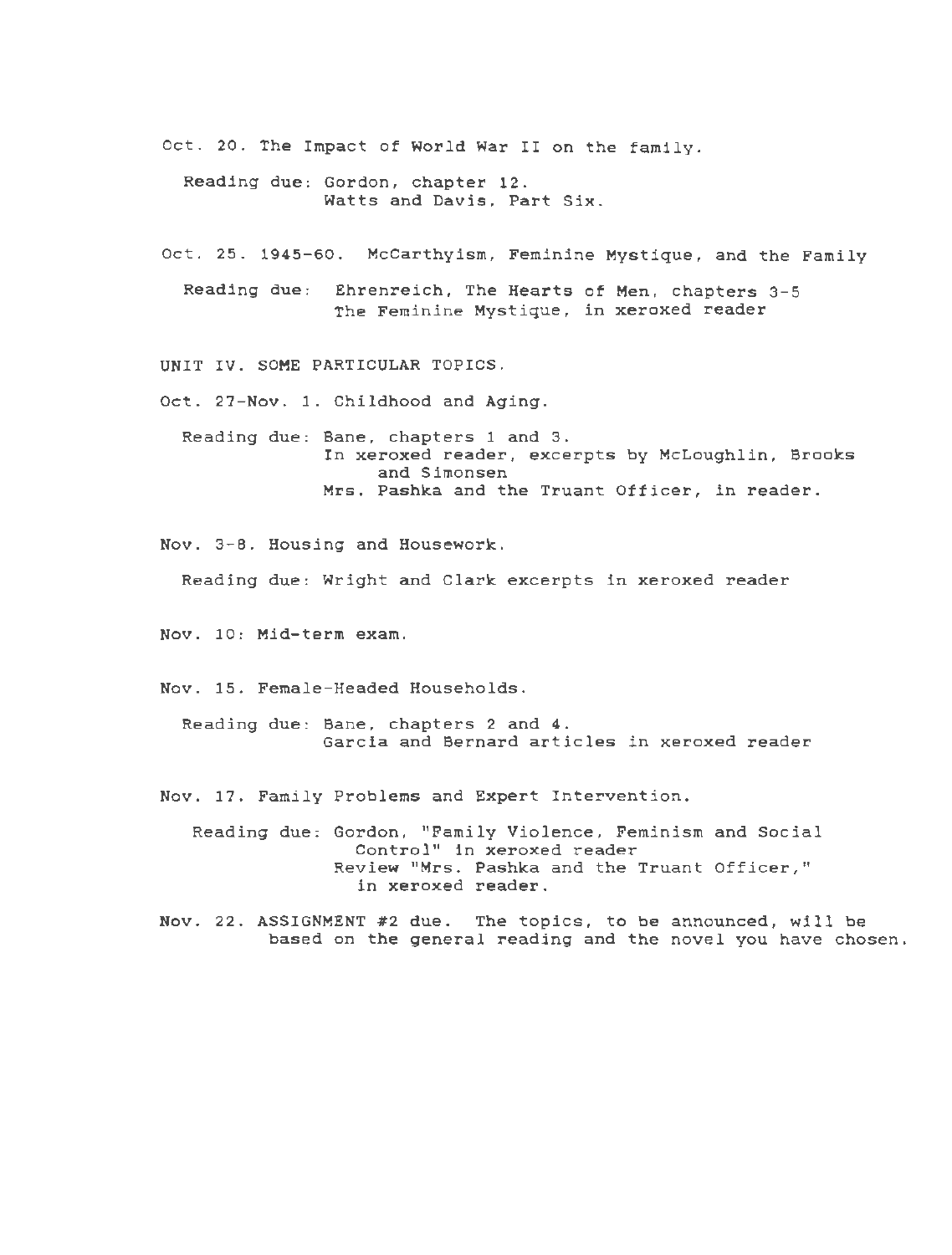Oct. 20. The Impact of World War II on the family.

Reading due: Gordon, chapter 12. Watts and Davis, Part Six.

Oct. 25. 1945-60. McCarthyism, Feminine Mystique, and the Family

Reading due: Ehrenreich, The Hearts of Men, chapters 3-5 The Feminine Mystique, *in* xeroxed reader

UNIT IV. SOME PARTICULAR TOPICS.

Oct. 27-Nov. 1. Childhood and Aging.

Reading due: Bane, chapters 1 and 3. In xeroxed reader, excerpts by McLoughlin, Brooks and Simonsen Mrs. Pashka and the Truant Officer, *in* reader.

Nov. 3-8. Housing and Housework.

Reading due: Wright and Clark excerpts *in* xeroxed reader

Nov. 10: Mid-term exam.

Nov. 15. Female-Headed Households.

Reading due: Bane, chapters 2 and 4. Garcia and Bernard articles *in* xeroxed reader

Nov. 17. Family Problems and Expert Intervention.

Reading due: Gordon, "Family Violence, Feminism and Social Control" in xeroxed reader Review "Mrs. Pashka and the Truant Officer," *in* xeroxed reader.

Nov. 22. ASSIGNMENT #2 due. The topics, to be announced, will be based on the general reading and the novel you have chosen.